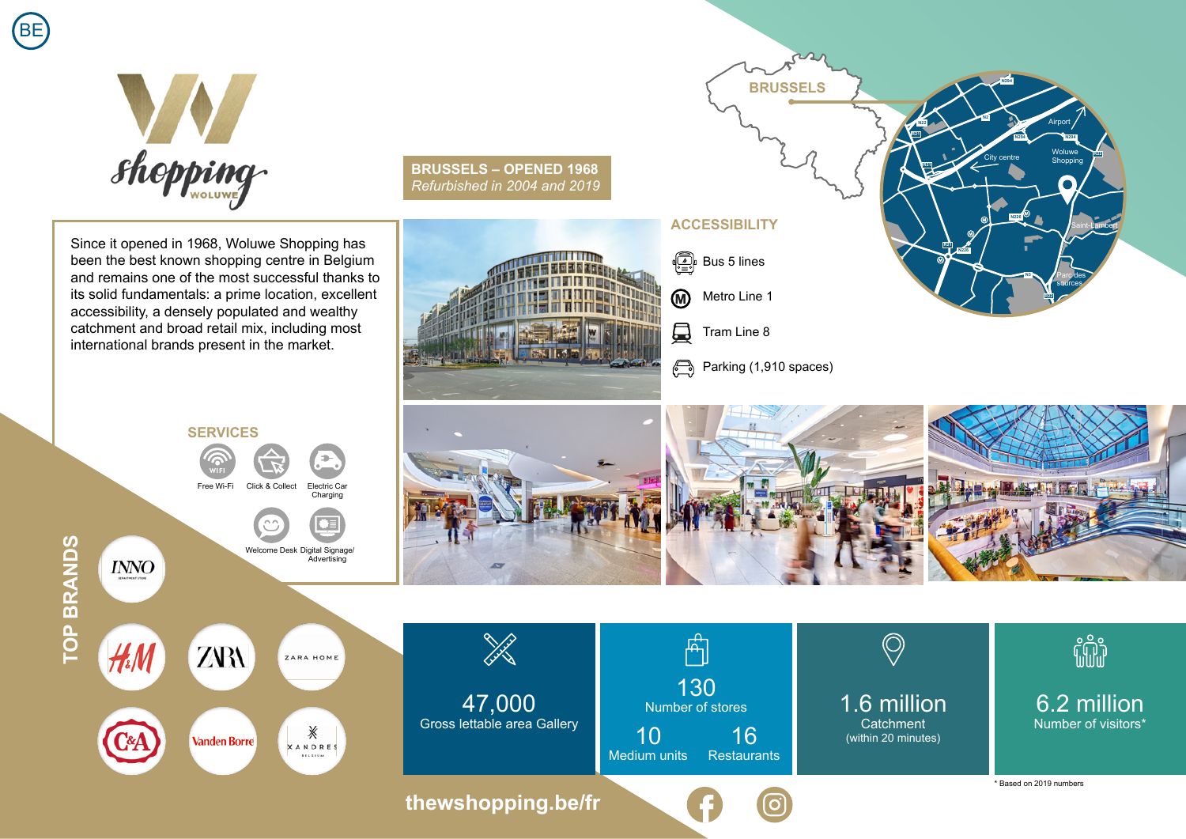



Since it opened in 1968, Woluwe Shopping has been the best known shopping centre in Belgium and remains one of the most successful thanks to its solid fundamentals: a prime location, excellent accessibility, a densely populated and wealthy catchment and broad retail mix, including most international brands present in the market.

**BRUSSELS – OPENED 1968** *Refurbished in 2004 and 2019*



## **ACCESSIBILITY**

**I** Bus 5 lines

Metro Line 1 **M** 

口 Tram Line 8

Parking (1,910 spaces)

**BRUSSELS**

 $\alpha$ 



Woluwe Shopping

> Parc des sources

Saint-Lambert

**R22**

City centre

**N294**

**N2**

**N226**

**N3**

**R22**

**R21**

**N226**

**R21**

**R21**

**N22**

Airport

**N294 N294**



**SERVICES** ÷

Free Wi-Fi Click & Collect Electric Car

Charging

Welcome Desk Digital Signage/ Advertising

**TOP BRANDS TOP BRANDS**

**INNO**